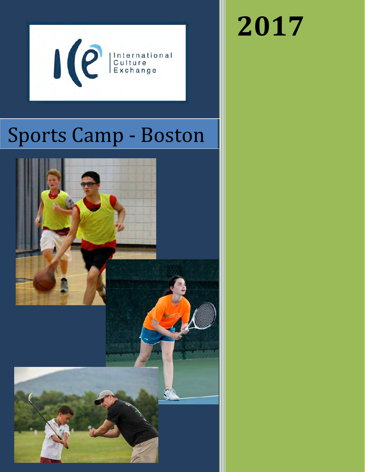

# Sports Camp - Boston



# **2017**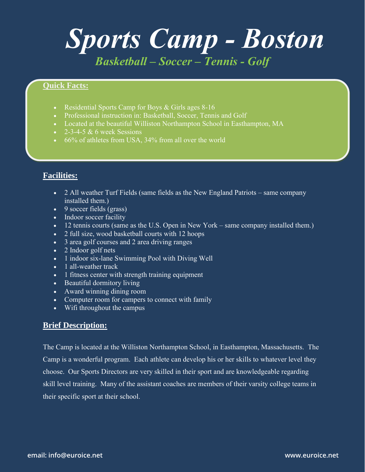## *Sports Camp - Boston Basketball – Soccer – Tennis - Golf*

#### **Quick Facts:**

- Residential Sports Camp for Boys & Girls ages 8-16
- Professional instruction in: Basketball, Soccer, Tennis and Golf
- Located at the beautiful Williston Northampton School in Easthampton, MA
- $\cdot$  2-3-4-5 & 6 week Sessions
- $\cdot$  66% of athletes from USA, 34% from all over the world

## **Facilities:**

- 2 All weather Turf Fields (same fields as the New England Patriots same company installed them.)
- 9 soccer fields (grass)
- Indoor soccer facility
- 12 tennis courts (same as the U.S. Open in New York same company installed them.)
- 2 full size, wood basketball courts with 12 hoops
- 3 area golf courses and 2 area driving ranges
- 2 Indoor golf nets
- 1 indoor six-lane Swimming Pool with Diving Well
- 1 all-weather track
- 1 fitness center with strength training equipment
- Beautiful dormitory living
- Award winning dining room
- Computer room for campers to connect with family
- Wifi throughout the campus

### **Brief Description:**

The Camp is located at the Williston Northampton School, in Easthampton, Massachusetts. The Camp is a wonderful program. Each athlete can develop his or her skills to whatever level they choose. Our Sports Directors are very skilled in their sport and are knowledgeable regarding skill level training. Many of the assistant coaches are members of their varsity college teams in their specific sport at their school.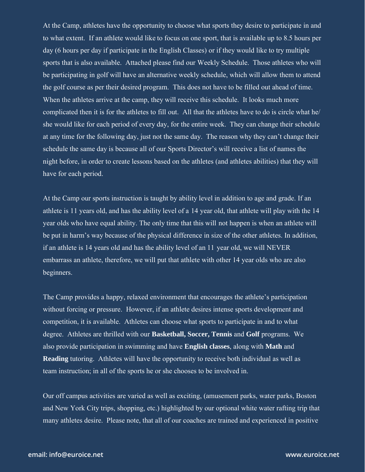At the Camp, athletes have the opportunity to choose what sports they desire to participate in and to what extent. If an athlete would like to focus on one sport, that is available up to 8.5 hours per day (6 hours per day if participate in the English Classes) or if they would like to try multiple sports that is also available. Attached please find our Weekly Schedule. Those athletes who will be participating in golf will have an alternative weekly schedule, which will allow them to attend the golf course as per their desired program. This does not have to be filled out ahead of time. When the athletes arrive at the camp, they will receive this schedule. It looks much more complicated then it is for the athletes to fill out. All that the athletes have to do is circle what he/ she would like for each period of every day, for the entire week. They can change their schedule at any time for the following day, just not the same day. The reason why they can't change their schedule the same day is because all of our Sports Director's will receive a list of names the night before, in order to create lessons based on the athletes (and athletes abilities) that they will have for each period.

At the Camp our sports instruction is taught by ability level in addition to age and grade. If an athlete is 11 years old, and has the ability level of a 14 year old, that athlete will play with the 14 year olds who have equal ability. The only time that this will not happen is when an athlete will be put in harm's way because of the physical difference in size of the other athletes. In addition, if an athlete is 14 years old and has the ability level of an 11 year old, we will NEVER embarrass an athlete, therefore, we will put that athlete with other 14 year olds who are also beginners.

The Camp provides a happy, relaxed environment that encourages the athlete's participation without forcing or pressure. However, if an athlete desires intense sports development and competition, it is available. Athletes can choose what sports to participate in and to what degree. Athletes are thrilled with our **Basketball, Soccer, Tennis** and **Golf** programs. We also provide participation in swimming and have **English classes**, along with **Math** and **Reading** tutoring. Athletes will have the opportunity to receive both individual as well as team instruction; in all of the sports he or she chooses to be involved in.

Our off campus activities are varied as well as exciting, (amusement parks, water parks, Boston and New York City trips, shopping, etc.) highlighted by our optional white water rafting trip that many athletes desire. Please note, that all of our coaches are trained and experienced in positive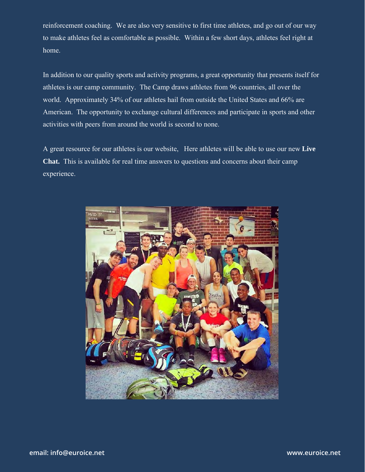reinforcement coaching. We are also very sensitive to first time athletes, and go out of our way to make athletes feel as comfortable as possible. Within a few short days, athletes feel right at home.

In addition to our quality sports and activity programs, a great opportunity that presents itself for athletes is our camp community. The Camp draws athletes from 96 countries, all over the world. Approximately 34% of our athletes hail from outside the United States and 66% are American. The opportunity to exchange cultural differences and participate in sports and other activities with peers from around the world is second to none.

A great resource for our athletes is our website, [Here athletes will be able to](http://www.worldsportscamp.com/) use our new **Live Chat.** This is available for real time answers to questions and concerns about their camp experience.

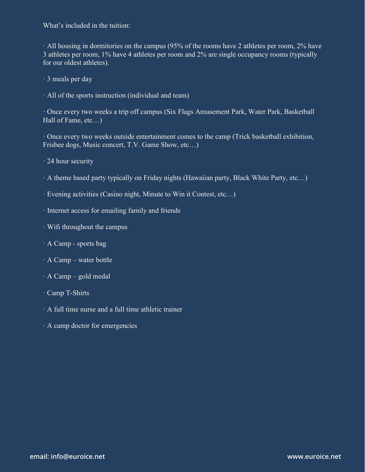What's included in the tuition:

· All housing in dormitories on the campus (95% of the rooms have 2 athletes per room, 2% have 3 athletes per room, 1% have 4 athletes per room and 2% are single occupancy rooms (typically for our oldest athletes).

· 3 meals per day

· All of the sports instruction (individual and team)

· Once every two weeks a trip off campus (Six Flags Amusement Park, Water Park, Basketball Hall of Fame, etc…)

· Once every two weeks outside entertainment comes to the camp (Trick basketball exhibition, Frisbee dogs, Music concert, T.V. Game Show, etc…)

· 24 hour security

· A theme based party typically on Friday nights (Hawaiian party, Black White Party, etc…)

· Evening activities (Casino night, Minute to Win it Contest, etc…)

- · Internet access for emailing family and friends
- · Wifi throughout the campus
- · A Camp sports bag
- · A Camp water bottle
- · A Camp gold medal
- · Camp T-Shirts
- · A full time nurse and a full time athletic trainer
- · A camp doctor for emergencies